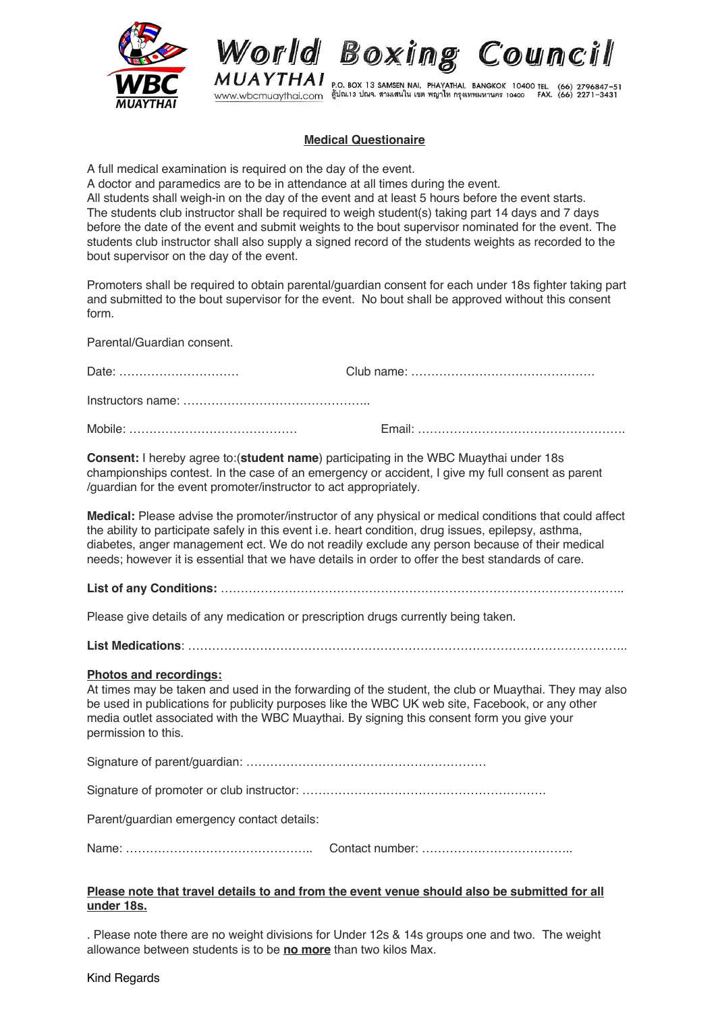

World Boxing Council

MUAYTHAI P.O. BOX 13 SAMSEN NAI, PHAYATHAI, BANGKOK 10400 TEL. (66) 2796847-51<br>www.wbcmuaythai.com (10.13 ling. สามเสนใน เขต พญาไท กรุงเทพมหานคร 10400 FAX. (66) 2271-3431

## **Medical Questionaire**

A full medical examination is required on the day of the event.

A doctor and paramedics are to be in attendance at all times during the event.

All students shall weigh-in on the day of the event and at least 5 hours before the event starts. The students club instructor shall be required to weigh student(s) taking part 14 days and 7 days before the date of the event and submit weights to the bout supervisor nominated for the event. The students club instructor shall also supply a signed record of the students weights as recorded to the bout supervisor on the day of the event.

Promoters shall be required to obtain parental/guardian consent for each under 18s fighter taking part and submitted to the bout supervisor for the event. No bout shall be approved without this consent form.

Parental/Guardian consent.

| <b>Consent:</b> I hereby agree to ( <b>student name</b> ) participating in the WBC Muaythai under 18s |  |
|-------------------------------------------------------------------------------------------------------|--|

**Consent:** I hereby agree to:(**student name**) participating in the WBC Muaythai under 18s championships contest. In the case of an emergency or accident, I give my full consent as parent /guardian for the event promoter/instructor to act appropriately.

**Medical:** Please advise the promoter/instructor of any physical or medical conditions that could affect the ability to participate safely in this event i.e. heart condition, drug issues, epilepsy, asthma, diabetes, anger management ect. We do not readily exclude any person because of their medical needs; however it is essential that we have details in order to offer the best standards of care.

**List of any Conditions:** ………………………………………………………………………………………..

Please give details of any medication or prescription drugs currently being taken.

**List Medications**: ………………………………………………………………………………………………..

## **Photos and recordings:**

At times may be taken and used in the forwarding of the student, the club or Muaythai. They may also be used in publications for publicity purposes like the WBC UK web site, Facebook, or any other media outlet associated with the WBC Muaythai. By signing this consent form you give your permission to this.

Signature of parent/guardian: ……………………………………………………

Signature of promoter or club instructor: …………………………………………………….

Parent/guardian emergency contact details:

Name: ……………………………………….. Contact number: ………………………………..

## **Please note that travel details to and from the event venue should also be submitted for all under 18s.**

. Please note there are no weight divisions for Under 12s & 14s groups one and two. The weight allowance between students is to be **no more** than two kilos Max.

Kind Regards